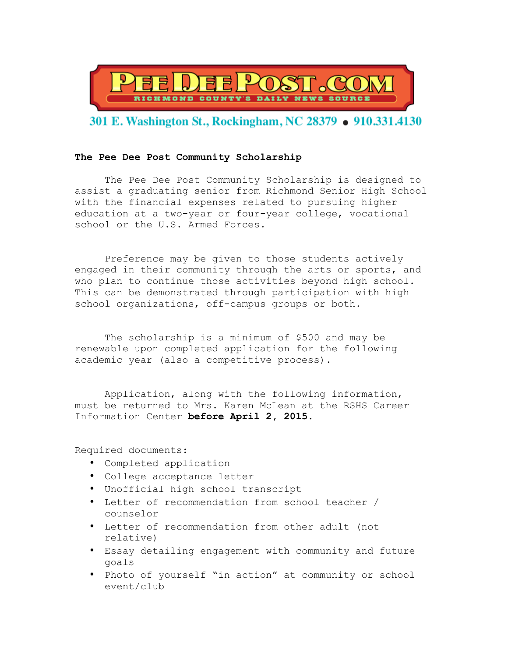

## 301 E. Washington St., Rockingham, NC 28379 • 910.331.4130

## **The Pee Dee Post Community Scholarship**

The Pee Dee Post Community Scholarship is designed to assist a graduating senior from Richmond Senior High School with the financial expenses related to pursuing higher education at a two-year or four-year college, vocational school or the U.S. Armed Forces.

Preference may be given to those students actively engaged in their community through the arts or sports, and who plan to continue those activities beyond high school. This can be demonstrated through participation with high school organizations, off-campus groups or both.

The scholarship is a minimum of \$500 and may be renewable upon completed application for the following academic year (also a competitive process).

Application, along with the following information, must be returned to Mrs. Karen McLean at the RSHS Career Information Center **before April 2, 2015**.

Required documents:

- Completed application
- College acceptance letter
- Unofficial high school transcript
- Letter of recommendation from school teacher / counselor
- Letter of recommendation from other adult (not relative)
- Essay detailing engagement with community and future goals
- Photo of yourself "in action" at community or school event/club